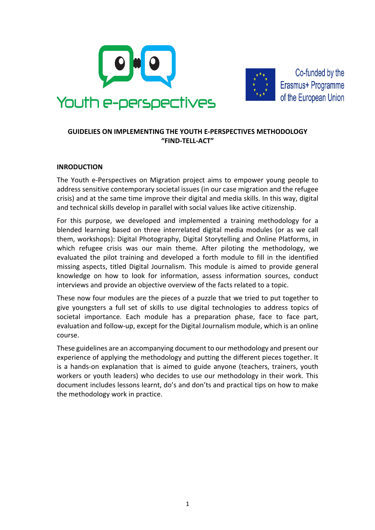



Co-funded by the Erasmus+ Programme of the European Union

# **GUIDELIES ON IMPLEMENTING THE YOUTH E-PERSPECTIVES METHODOLOGY "FIND-TELL-ACT"**

# **INRODUCTION**

The Youth e-Perspectives on Migration project aims to empower young people to address sensitive contemporary societal issues (in our case migration and the refugee crisis) and at the same time improve their digital and media skills. In this way, digital and technical skills develop in parallel with social values like active citizenship.

For this purpose, we developed and implemented a training methodology for a blended learning based on three interrelated digital media modules (or as we call them, workshops): Digital Photography, Digital Storytelling and Online Platforms, in which refugee crisis was our main theme. After piloting the methodology, we evaluated the pilot training and developed a forth module to fill in the identified missing aspects, titled Digital Journalism. This module is aimed to provide general knowledge on how to look for information, assess information sources, conduct interviews and provide an objective overview of the facts related to a topic.

These now four modules are the pieces of a puzzle that we tried to put together to give youngsters a full set of skills to use digital technologies to address topics of societal importance. Each module has a preparation phase, face to face part, evaluation and follow-up, except for the Digital Journalism module, which is an online course.

These guidelines are an accompanying document to our methodology and present our experience of applying the methodology and putting the different pieces together. It is a hands-on explanation that is aimed to guide anyone (teachers, trainers, youth workers or youth leaders) who decides to use our methodology in their work. This document includes lessons learnt, do's and don'ts and practical tips on how to make the methodology work in practice.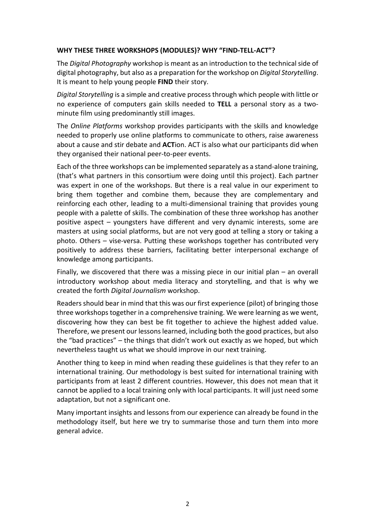# WHY THESE THREE WORKSHOPS (MODULES)? WHY "FIND-TELL-ACT"?

The *Digital Photography* workshop is meant as an introduction to the technical side of digital photography, but also as a preparation for the workshop on *Digital Storytelling*. It is meant to help young people **FIND** their story.

*Digital Storytelling* is a simple and creative process through which people with little or no experience of computers gain skills needed to **TELL** a personal story as a twominute film using predominantly still images.

The *Online Platforms* workshop provides participants with the skills and knowledge needed to properly use online platforms to communicate to others, raise awareness about a cause and stir debate and **ACT**ion. ACT is also what our participants did when they organised their national peer-to-peer events.

Each of the three workshops can be implemented separately as a stand-alone training, (that's what partners in this consortium were doing until this project). Each partner was expert in one of the workshops. But there is a real value in our experiment to bring them together and combine them, because they are complementary and reinforcing each other, leading to a multi-dimensional training that provides young people with a palette of skills. The combination of these three workshop has another positive aspect  $-$  youngsters have different and very dynamic interests, some are masters at using social platforms, but are not very good at telling a story or taking a photo. Others – vise-versa. Putting these workshops together has contributed very positively to address these barriers, facilitating better interpersonal exchange of knowledge among participants.

Finally, we discovered that there was a missing piece in our initial plan  $-$  an overall introductory workshop about media literacy and storytelling, and that is why we created the forth *Digital Journalism* workshop.

Readers should bear in mind that this was our first experience (pilot) of bringing those three workshops together in a comprehensive training. We were learning as we went, discovering how they can best be fit together to achieve the highest added value. Therefore, we present our lessons learned, including both the good practices, but also the "bad practices"  $-$  the things that didn't work out exactly as we hoped, but which nevertheless taught us what we should improve in our next training.

Another thing to keep in mind when reading these guidelines is that they refer to an international training. Our methodology is best suited for international training with participants from at least 2 different countries. However, this does not mean that it cannot be applied to a local training only with local participants. It will just need some adaptation, but not a significant one.

Many important insights and lessons from our experience can already be found in the methodology itself, but here we try to summarise those and turn them into more general advice.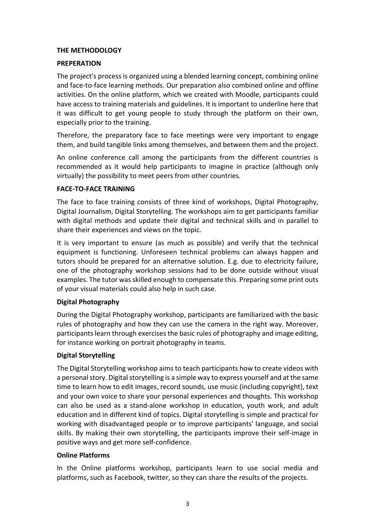# **THE METHODOLOGY**

## **PREPERATION**

The project's process is organized using a blended learning concept, combining online and face-to-face learning methods. Our preparation also combined online and offline activities. On the online platform, which we created with Moodle, participants could have access to training materials and guidelines. It is important to underline here that it was difficult to get young people to study through the platform on their own, especially prior to the training.

Therefore, the preparatory face to face meetings were very important to engage them, and build tangible links among themselves, and between them and the project.

An online conference call among the participants from the different countries is recommended as it would help participants to imagine in practice (although only virtually) the possibility to meet peers from other countries.

## **FACE-TO-FACE TRAINING**

The face to face training consists of three kind of workshops, Digital Photography, Digital Journalism, Digital Storytelling. The workshops aim to get participants familiar with digital methods and update their digital and technical skills and in parallel to share their experiences and views on the topic.

It is very important to ensure (as much as possible) and verify that the technical equipment is functioning. Unforeseen technical problems can always happen and tutors should be prepared for an alternative solution. E.g. due to electricity failure, one of the photography workshop sessions had to be done outside without visual examples. The tutor was skilled enough to compensate this. Preparing some print outs of your visual materials could also help in such case.

# **Digital Photography**

During the Digital Photography workshop, participants are familiarized with the basic rules of photography and how they can use the camera in the right way. Moreover, participants learn through exercises the basic rules of photography and image editing, for instance working on portrait photography in teams.

# **Digital Storytelling**

The Digital Storytelling workshop aims to teach participants how to create videos with a personal story. Digital storytelling is a simple way to express yourself and at the same time to learn how to edit images, record sounds, use music (including copyright), text and your own voice to share your personal experiences and thoughts. This workshop can also be used as a stand-alone workshop in education, youth work, and adult education and in different kind of topics. Digital storytelling is simple and practical for working with disadvantaged people or to improve participants' language, and social skills. By making their own storytelling, the participants improve their self-image in positive ways and get more self-confidence.

## **Online Platforms**

In the Online platforms workshop, participants learn to use social media and platforms, such as Facebook, twitter, so they can share the results of the projects.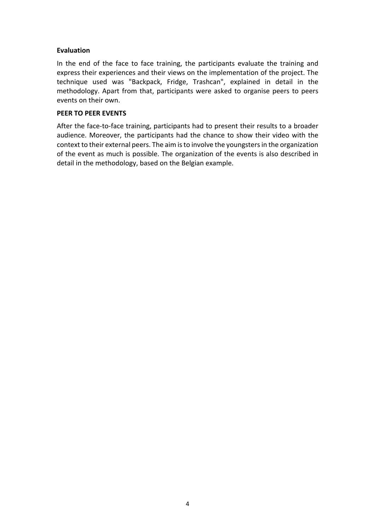# **Evaluation**

In the end of the face to face training, the participants evaluate the training and express their experiences and their views on the implementation of the project. The technique used was "Backpack, Fridge, Trashcan", explained in detail in the methodology. Apart from that, participants were asked to organise peers to peers events on their own.

## **PEER TO PEER EVENTS**

After the face-to-face training, participants had to present their results to a broader audience. Moreover, the participants had the chance to show their video with the context to their external peers. The aim is to involve the youngsters in the organization of the event as much is possible. The organization of the events is also described in detail in the methodology, based on the Belgian example.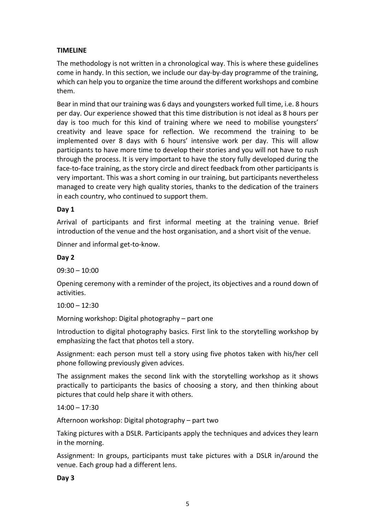# **TIMELINE**

The methodology is not written in a chronological way. This is where these guidelines come in handy. In this section, we include our day-by-day programme of the training, which can help you to organize the time around the different workshops and combine them.

Bear in mind that our training was 6 days and youngsters worked full time, i.e. 8 hours per day. Our experience showed that this time distribution is not ideal as 8 hours per day is too much for this kind of training where we need to mobilise youngsters' creativity and leave space for reflection. We recommend the training to be implemented over 8 days with 6 hours' intensive work per day. This will allow participants to have more time to develop their stories and you will not have to rush through the process. It is very important to have the story fully developed during the face-to-face training, as the story circle and direct feedback from other participants is very important. This was a short coming in our training, but participants nevertheless managed to create very high quality stories, thanks to the dedication of the trainers in each country, who continued to support them.

# **Day 1**

Arrival of participants and first informal meeting at the training venue. Brief introduction of the venue and the host organisation, and a short visit of the venue.

Dinner and informal get-to-know.

## **Day 2**

09:30 – 10:00

Opening ceremony with a reminder of the project, its objectives and a round down of activities.

## $10:00 - 12:30$

Morning workshop: Digital photography – part one

Introduction to digital photography basics. First link to the storytelling workshop by emphasizing the fact that photos tell a story.

Assignment: each person must tell a story using five photos taken with his/her cell phone following previously given advices.

The assignment makes the second link with the storytelling workshop as it shows practically to participants the basics of choosing a story, and then thinking about pictures that could help share it with others.

## $14:00 - 17:30$

Afternoon workshop: Digital photography – part two

Taking pictures with a DSLR. Participants apply the techniques and advices they learn in the morning.

Assignment: In groups, participants must take pictures with a DSLR in/around the venue. Each group had a different lens.

**Day 3**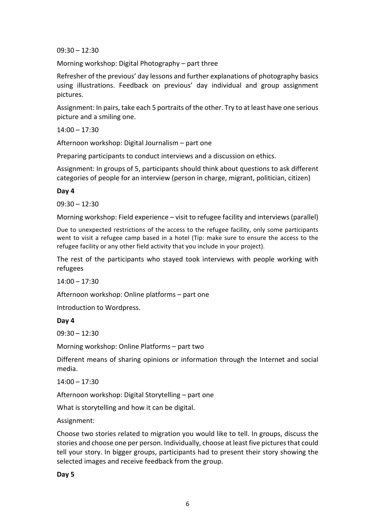$09:30 - 12:30$ 

Morning workshop: Digital Photography – part three

Refresher of the previous' day lessons and further explanations of photography basics using illustrations. Feedback on previous' day individual and group assignment pictures.

Assignment: In pairs, take each 5 portraits of the other. Try to at least have one serious picture and a smiling one.

 $14:00 - 17:30$ 

Afternoon workshop: Digital Journalism  $-$  part one

Preparing participants to conduct interviews and a discussion on ethics.

Assignment: In groups of 5, participants should think about questions to ask different categories of people for an interview (person in charge, migrant, politician, citizen)

**Day 4**

 $09:30 - 12:30$ 

Morning workshop: Field experience – visit to refugee facility and interviews (parallel)

Due to unexpected restrictions of the access to the refugee facility, only some participants went to visit a refugee camp based in a hotel (Tip: make sure to ensure the access to the refugee facility or any other field activity that you include in your project).

The rest of the participants who stayed took interviews with people working with refugees

 $14:00 - 17:30$ 

Afternoon workshop: Online platforms – part one

Introduction to Wordpress.

#### **Day 4**

 $09:30 - 12:30$ 

Morning workshop: Online Platforms - part two

Different means of sharing opinions or information through the Internet and social media.

 $14:00 - 17:30$ 

Afternoon workshop: Digital Storytelling – part one

What is storytelling and how it can be digital.

Assignment:

Choose two stories related to migration you would like to tell. In groups, discuss the stories and choose one per person. Individually, choose at least five pictures that could tell your story. In bigger groups, participants had to present their story showing the selected images and receive feedback from the group.

## **Day 5**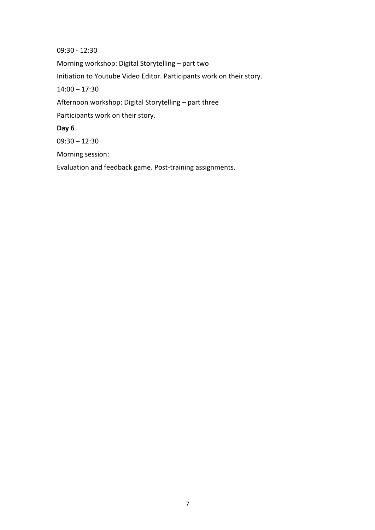09:30 - 12:30 

Morning workshop: Digital Storytelling - part two

Initiation to Youtube Video Editor. Participants work on their story.

 $14:00 - 17:30$ 

Afternoon workshop: Digital Storytelling - part three

Participants work on their story.

**Day 6**

 $09:30 - 12:30$ 

Morning session:

Evaluation and feedback game. Post-training assignments.